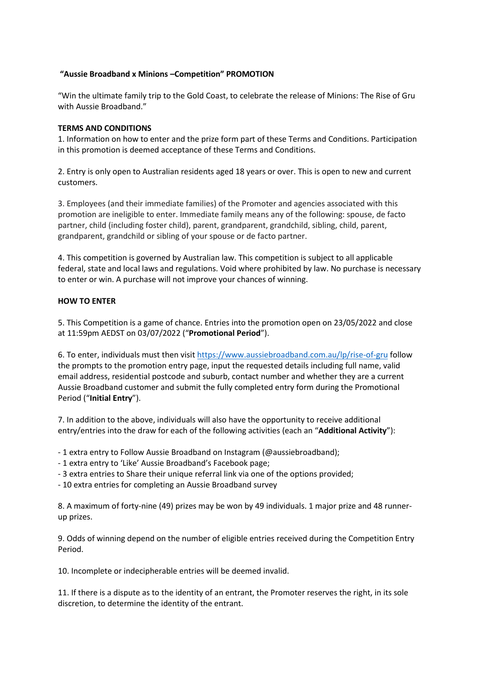## **"Aussie Broadband x Minions –Competition" PROMOTION**

"Win the ultimate family trip to the Gold Coast, to celebrate the release of Minions: The Rise of Gru with Aussie Broadband."

## **TERMS AND CONDITIONS**

1. Information on how to enter and the prize form part of these Terms and Conditions. Participation in this promotion is deemed acceptance of these Terms and Conditions.

2. Entry is only open to Australian residents aged 18 years or over. This is open to new and current customers.

3. Employees (and their immediate families) of the Promoter and agencies associated with this promotion are ineligible to enter. Immediate family means any of the following: spouse, de facto partner, child (including foster child), parent, grandparent, grandchild, sibling, child, parent, grandparent, grandchild or sibling of your spouse or de facto partner.

4. This competition is governed by Australian law. This competition is subject to all applicable federal, state and local laws and regulations. Void where prohibited by law. No purchase is necessary to enter or win. A purchase will not improve your chances of winning.

## **HOW TO ENTER**

5. This Competition is a game of chance. Entries into the promotion open on 23/05/2022 and close at 11:59pm AEDST on 03/07/2022 ("**Promotional Period**").

6. To enter, individuals must then visit<https://www.aussiebroadband.com.au/lp/rise-of-gru> follow the prompts to the promotion entry page, input the requested details including full name, valid email address, residential postcode and suburb, contact number and whether they are a current Aussie Broadband customer and submit the fully completed entry form during the Promotional Period ("**Initial Entry**").

7. In addition to the above, individuals will also have the opportunity to receive additional entry/entries into the draw for each of the following activities (each an "**Additional Activity**"):

- 1 extra entry to Follow Aussie Broadband on Instagram (@aussiebroadband);

- 1 extra entry to 'Like' Aussie Broadband's Facebook page;
- 3 extra entries to Share their unique referral link via one of the options provided;
- 10 extra entries for completing an Aussie Broadband survey

8. A maximum of forty-nine (49) prizes may be won by 49 individuals. 1 major prize and 48 runnerup prizes.

9. Odds of winning depend on the number of eligible entries received during the Competition Entry Period.

10. Incomplete or indecipherable entries will be deemed invalid.

11. If there is a dispute as to the identity of an entrant, the Promoter reserves the right, in its sole discretion, to determine the identity of the entrant.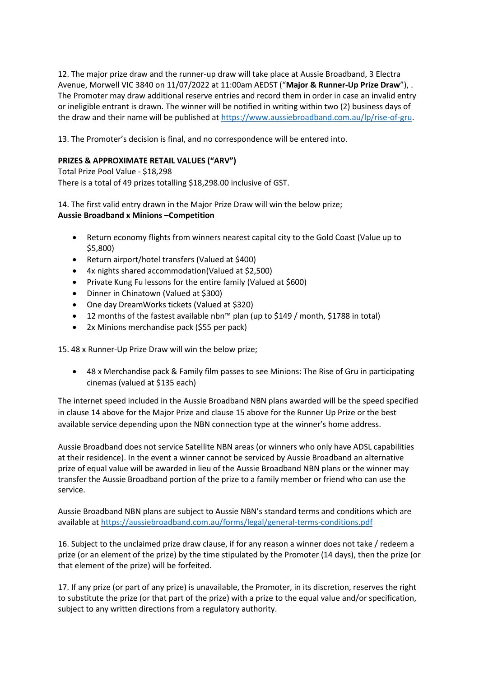12. The major prize draw and the runner-up draw will take place at Aussie Broadband, 3 Electra Avenue, Morwell VIC 3840 on 11/07/2022 at 11:00am AEDST ("**Major & Runner-Up Prize Draw**"), . The Promoter may draw additional reserve entries and record them in order in case an invalid entry or ineligible entrant is drawn. The winner will be notified in writing within two (2) business days of the draw and their name will be published at [https://www.aussiebroadband.com.au/lp/rise-of-gru.](https://www.aussiebroadband.com.au/lp/rise-of-gru)

13. The Promoter's decision is final, and no correspondence will be entered into.

## **PRIZES & APPROXIMATE RETAIL VALUES ("ARV")**

Total Prize Pool Value - \$18,298 There is a total of 49 prizes totalling \$18,298.00 inclusive of GST.

14. The first valid entry drawn in the Major Prize Draw will win the below prize; **Aussie Broadband x Minions –Competition**

- Return economy flights from winners nearest capital city to the Gold Coast (Value up to \$5,800)
- Return airport/hotel transfers (Valued at \$400)
- 4x nights shared accommodation(Valued at \$2,500)
- Private Kung Fu lessons for the entire family (Valued at \$600)
- Dinner in Chinatown (Valued at \$300)
- One day DreamWorks tickets (Valued at \$320)
- 12 months of the fastest available nbn™ plan (up to \$149 / month, \$1788 in total)
- 2x Minions merchandise pack (\$55 per pack)

15. 48 x Runner-Up Prize Draw will win the below prize;

• 48 x Merchandise pack & Family film passes to see Minions: The Rise of Gru in participating cinemas (valued at \$135 each)

The internet speed included in the Aussie Broadband NBN plans awarded will be the speed specified in clause 14 above for the Major Prize and clause 15 above for the Runner Up Prize or the best available service depending upon the NBN connection type at the winner's home address.

Aussie Broadband does not service Satellite NBN areas (or winners who only have ADSL capabilities at their residence). In the event a winner cannot be serviced by Aussie Broadband an alternative prize of equal value will be awarded in lieu of the Aussie Broadband NBN plans or the winner may transfer the Aussie Broadband portion of the prize to a family member or friend who can use the service.

Aussie Broadband NBN plans are subject to Aussie NBN's standard terms and conditions which are available a[t https://aussiebroadband.com.au/forms/legal/general-terms-conditions.pdf](https://aussiebroadband.com.au/forms/legal/general-terms-conditions.pdf)

16. Subject to the unclaimed prize draw clause, if for any reason a winner does not take / redeem a prize (or an element of the prize) by the time stipulated by the Promoter (14 days), then the prize (or that element of the prize) will be forfeited.

17. If any prize (or part of any prize) is unavailable, the Promoter, in its discretion, reserves the right to substitute the prize (or that part of the prize) with a prize to the equal value and/or specification, subject to any written directions from a regulatory authority.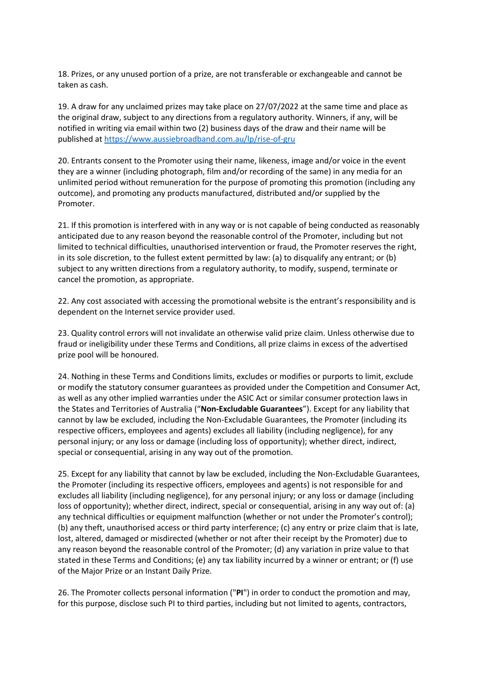18. Prizes, or any unused portion of a prize, are not transferable or exchangeable and cannot be taken as cash.

19. A draw for any unclaimed prizes may take place on 27/07/2022 at the same time and place as the original draw, subject to any directions from a regulatory authority. Winners, if any, will be notified in writing via email within two (2) business days of the draw and their name will be published a[t https://www.aussiebroadband.com.au/lp/rise-of-gru](https://www.aussiebroadband.com.au/lp/rise-of-gru)

20. Entrants consent to the Promoter using their name, likeness, image and/or voice in the event they are a winner (including photograph, film and/or recording of the same) in any media for an unlimited period without remuneration for the purpose of promoting this promotion (including any outcome), and promoting any products manufactured, distributed and/or supplied by the Promoter.

21. If this promotion is interfered with in any way or is not capable of being conducted as reasonably anticipated due to any reason beyond the reasonable control of the Promoter, including but not limited to technical difficulties, unauthorised intervention or fraud, the Promoter reserves the right, in its sole discretion, to the fullest extent permitted by law: (a) to disqualify any entrant; or (b) subject to any written directions from a regulatory authority, to modify, suspend, terminate or cancel the promotion, as appropriate.

22. Any cost associated with accessing the promotional website is the entrant's responsibility and is dependent on the Internet service provider used.

23. Quality control errors will not invalidate an otherwise valid prize claim. Unless otherwise due to fraud or ineligibility under these Terms and Conditions, all prize claims in excess of the advertised prize pool will be honoured.

24. Nothing in these Terms and Conditions limits, excludes or modifies or purports to limit, exclude or modify the statutory consumer guarantees as provided under the Competition and Consumer Act, as well as any other implied warranties under the ASIC Act or similar consumer protection laws in the States and Territories of Australia ("**Non-Excludable Guarantees**"). Except for any liability that cannot by law be excluded, including the Non-Excludable Guarantees, the Promoter (including its respective officers, employees and agents) excludes all liability (including negligence), for any personal injury; or any loss or damage (including loss of opportunity); whether direct, indirect, special or consequential, arising in any way out of the promotion.

25. Except for any liability that cannot by law be excluded, including the Non-Excludable Guarantees, the Promoter (including its respective officers, employees and agents) is not responsible for and excludes all liability (including negligence), for any personal injury; or any loss or damage (including loss of opportunity); whether direct, indirect, special or consequential, arising in any way out of: (a) any technical difficulties or equipment malfunction (whether or not under the Promoter's control); (b) any theft, unauthorised access or third party interference; (c) any entry or prize claim that is late, lost, altered, damaged or misdirected (whether or not after their receipt by the Promoter) due to any reason beyond the reasonable control of the Promoter; (d) any variation in prize value to that stated in these Terms and Conditions; (e) any tax liability incurred by a winner or entrant; or (f) use of the Major Prize or an Instant Daily Prize.

26. The Promoter collects personal information ("**PI**") in order to conduct the promotion and may, for this purpose, disclose such PI to third parties, including but not limited to agents, contractors,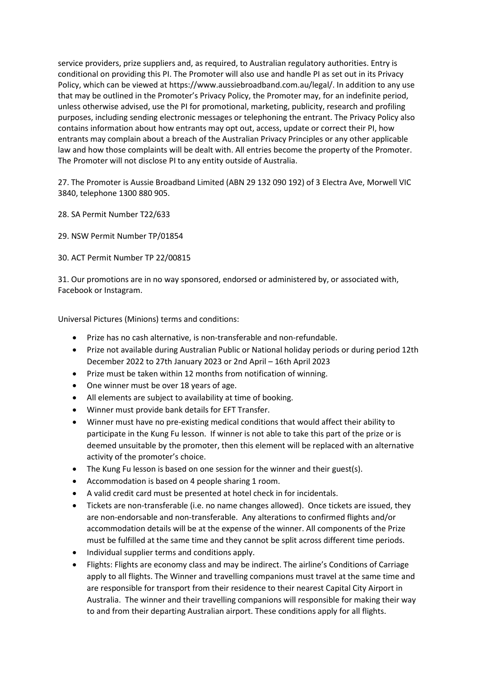service providers, prize suppliers and, as required, to Australian regulatory authorities. Entry is conditional on providing this PI. The Promoter will also use and handle PI as set out in its Privacy Policy, which can be viewed at https://www.aussiebroadband.com.au/legal/. In addition to any use that may be outlined in the Promoter's Privacy Policy, the Promoter may, for an indefinite period, unless otherwise advised, use the PI for promotional, marketing, publicity, research and profiling purposes, including sending electronic messages or telephoning the entrant. The Privacy Policy also contains information about how entrants may opt out, access, update or correct their PI, how entrants may complain about a breach of the Australian Privacy Principles or any other applicable law and how those complaints will be dealt with. All entries become the property of the Promoter. The Promoter will not disclose PI to any entity outside of Australia.

27. The Promoter is Aussie Broadband Limited (ABN 29 132 090 192) of 3 Electra Ave, Morwell VIC 3840, telephone 1300 880 905.

- 28. SA Permit Number T22/633
- 29. NSW Permit Number TP/01854
- 30. ACT Permit Number TP 22/00815

31. Our promotions are in no way sponsored, endorsed or administered by, or associated with, Facebook or Instagram.

Universal Pictures (Minions) terms and conditions:

- Prize has no cash alternative, is non-transferable and non-refundable.
- Prize not available during Australian Public or National holiday periods or during period 12th December 2022 to 27th January 2023 or 2nd April – 16th April 2023
- Prize must be taken within 12 months from notification of winning.
- One winner must be over 18 years of age.
- All elements are subject to availability at time of booking.
- Winner must provide bank details for EFT Transfer.
- Winner must have no pre-existing medical conditions that would affect their ability to participate in the Kung Fu lesson. If winner is not able to take this part of the prize or is deemed unsuitable by the promoter, then this element will be replaced with an alternative activity of the promoter's choice.
- The Kung Fu lesson is based on one session for the winner and their guest(s).
- Accommodation is based on 4 people sharing 1 room.
- A valid credit card must be presented at hotel check in for incidentals.
- Tickets are non-transferable (i.e. no name changes allowed). Once tickets are issued, they are non-endorsable and non-transferable. Any alterations to confirmed flights and/or accommodation details will be at the expense of the winner. All components of the Prize must be fulfilled at the same time and they cannot be split across different time periods.
- Individual supplier terms and conditions apply.
- Flights: Flights are economy class and may be indirect. The airline's Conditions of Carriage apply to all flights. The Winner and travelling companions must travel at the same time and are responsible for transport from their residence to their nearest Capital City Airport in Australia. The winner and their travelling companions will responsible for making their way to and from their departing Australian airport. These conditions apply for all flights.